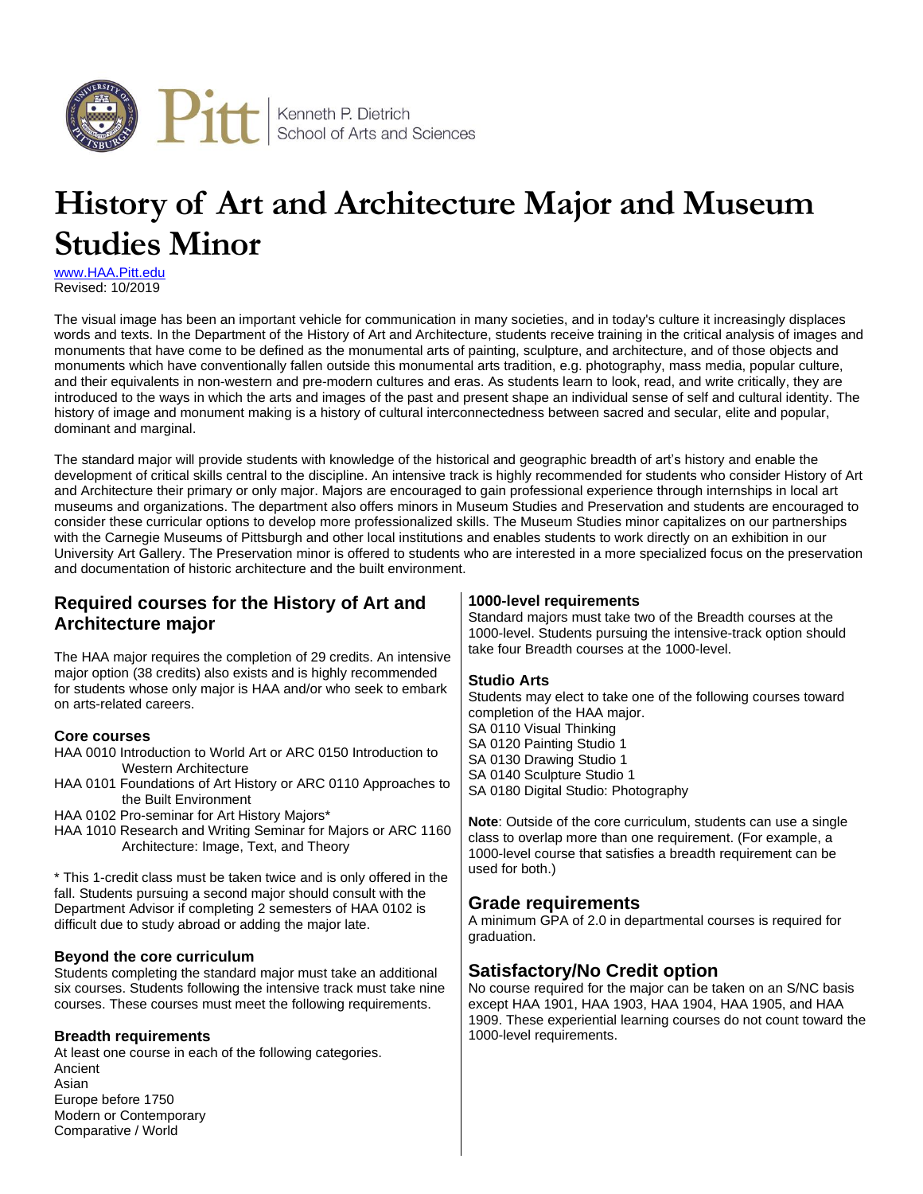

# **History of Art and Architecture Major and Museum Studies Minor**

[www.HAA.Pitt.edu](http://www.haa.pitt.edu/) Revised: 10/2019

Comparative / World

The visual image has been an important vehicle for communication in many societies, and in today's culture it increasingly displaces words and texts. In the Department of the History of Art and Architecture, students receive training in the critical analysis of images and monuments that have come to be defined as the monumental arts of painting, sculpture, and architecture, and of those objects and monuments which have conventionally fallen outside this monumental arts tradition, e.g. photography, mass media, popular culture, and their equivalents in non-western and pre-modern cultures and eras. As students learn to look, read, and write critically, they are introduced to the ways in which the arts and images of the past and present shape an individual sense of self and cultural identity. The history of image and monument making is a history of cultural interconnectedness between sacred and secular, elite and popular, dominant and marginal.

The standard major will provide students with knowledge of the historical and geographic breadth of art's history and enable the development of critical skills central to the discipline. An intensive track is highly recommended for students who consider History of Art and Architecture their primary or only major. Majors are encouraged to gain professional experience through internships in local art museums and organizations. The department also offers minors in Museum Studies and Preservation and students are encouraged to consider these curricular options to develop more professionalized skills. The Museum Studies minor capitalizes on our partnerships with the Carnegie Museums of Pittsburgh and other local institutions and enables students to work directly on an exhibition in our University Art Gallery. The Preservation minor is offered to students who are interested in a more specialized focus on the preservation and documentation of historic architecture and the built environment.

| 1000-level requirements<br>Standard majors must take two of the Breadth courses at the<br>1000-level. Students pursuing the intensive-track option should<br>take four Breadth courses at the 1000-level.                                                                                                                                                                                                                                                                                           |  |  |  |  |
|-----------------------------------------------------------------------------------------------------------------------------------------------------------------------------------------------------------------------------------------------------------------------------------------------------------------------------------------------------------------------------------------------------------------------------------------------------------------------------------------------------|--|--|--|--|
| <b>Studio Arts</b><br>Students may elect to take one of the following courses toward<br>completion of the HAA major.<br>SA 0110 Visual Thinking<br>SA 0120 Painting Studio 1<br>SA 0130 Drawing Studio 1<br>SA 0140 Sculpture Studio 1<br>SA 0180 Digital Studio: Photography<br>Note: Outside of the core curriculum, students can use a single<br>class to overlap more than one requirement. (For example, a<br>1000-level course that satisfies a breadth requirement can be<br>used for both.) |  |  |  |  |
| <b>Grade requirements</b><br>A minimum GPA of 2.0 in departmental courses is required for<br>graduation.                                                                                                                                                                                                                                                                                                                                                                                            |  |  |  |  |
| <b>Satisfactory/No Credit option</b><br>No course required for the major can be taken on an S/NC basis<br>except HAA 1901, HAA 1903, HAA 1904, HAA 1905, and HAA<br>1909. These experiential learning courses do not count toward the<br>1000-level requirements.                                                                                                                                                                                                                                   |  |  |  |  |
| The HAA major requires the completion of 29 credits. An intensive<br>HAA 0101 Foundations of Art History or ARC 0110 Approaches to<br>HAA 1010 Research and Writing Seminar for Majors or ARC 1160                                                                                                                                                                                                                                                                                                  |  |  |  |  |